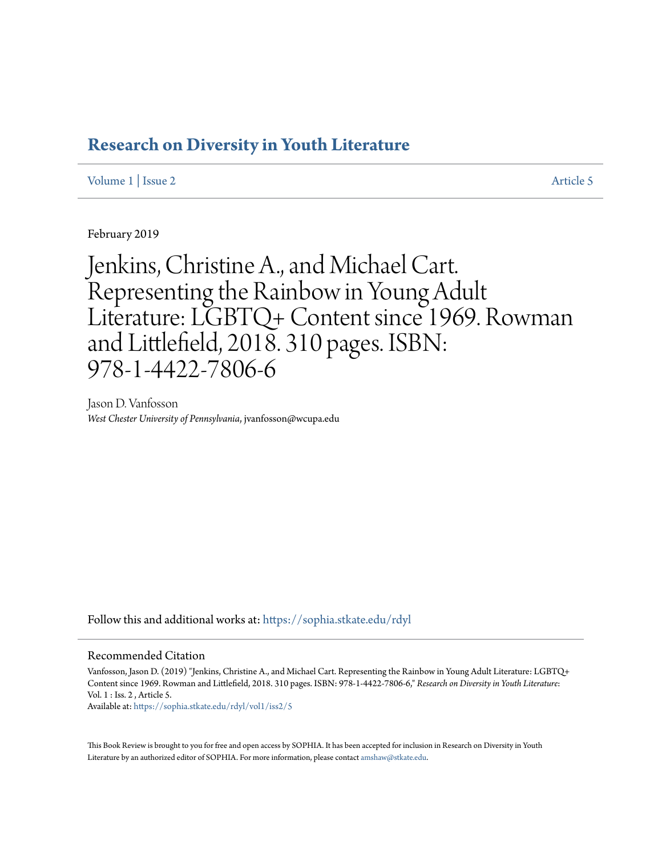## **[Research on Diversity in Youth Literature](https://sophia.stkate.edu/rdyl?utm_source=sophia.stkate.edu%2Frdyl%2Fvol1%2Fiss2%2F5&utm_medium=PDF&utm_campaign=PDFCoverPages)**

[Volume 1](https://sophia.stkate.edu/rdyl/vol1?utm_source=sophia.stkate.edu%2Frdyl%2Fvol1%2Fiss2%2F5&utm_medium=PDF&utm_campaign=PDFCoverPages) | [Issue 2](https://sophia.stkate.edu/rdyl/vol1/iss2?utm_source=sophia.stkate.edu%2Frdyl%2Fvol1%2Fiss2%2F5&utm_medium=PDF&utm_campaign=PDFCoverPages) [Article 5](https://sophia.stkate.edu/rdyl/vol1/iss2/5?utm_source=sophia.stkate.edu%2Frdyl%2Fvol1%2Fiss2%2F5&utm_medium=PDF&utm_campaign=PDFCoverPages)

February 2019

Jenkins, Christine A., and Michael Cart. Representing the Rainbow in Young Adult Literature: LGBTQ+ Content since 1969. Rowman and Littlefield, 2018. 310 pages. ISBN: 978-1-4422-7806-6

Jason D. Vanfosson *West Chester University of Pennsylvania*, jvanfosson@wcupa.edu

Follow this and additional works at: [https://sophia.stkate.edu/rdyl](https://sophia.stkate.edu/rdyl?utm_source=sophia.stkate.edu%2Frdyl%2Fvol1%2Fiss2%2F5&utm_medium=PDF&utm_campaign=PDFCoverPages)

## Recommended Citation

Vanfosson, Jason D. (2019) "Jenkins, Christine A., and Michael Cart. Representing the Rainbow in Young Adult Literature: LGBTQ+ Content since 1969. Rowman and Littlefield, 2018. 310 pages. ISBN: 978-1-4422-7806-6," *Research on Diversity in Youth Literature*: Vol. 1 : Iss. 2 , Article 5.

Available at: [https://sophia.stkate.edu/rdyl/vol1/iss2/5](https://sophia.stkate.edu/rdyl/vol1/iss2/5?utm_source=sophia.stkate.edu%2Frdyl%2Fvol1%2Fiss2%2F5&utm_medium=PDF&utm_campaign=PDFCoverPages)

This Book Review is brought to you for free and open access by SOPHIA. It has been accepted for inclusion in Research on Diversity in Youth Literature by an authorized editor of SOPHIA. For more information, please contact [amshaw@stkate.edu.](mailto:amshaw@stkate.edu)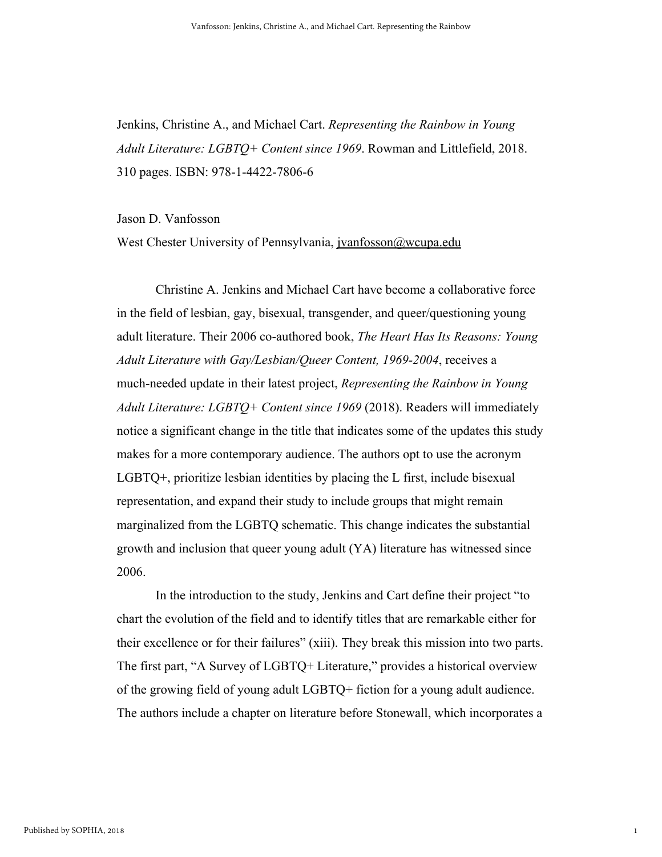Jenkins, Christine A., and Michael Cart. *Representing the Rainbow in Young Adult Literature: LGBTQ+ Content since 1969*. Rowman and Littlefield, 2018. 310 pages. ISBN: 978-1-4422-7806-6

Jason D. Vanfosson

West Chester University of Pennsylvania, <u>ivanfosson@wcupa.edu</u>

Christine A. Jenkins and Michael Cart have become a collaborative force in the field of lesbian, gay, bisexual, transgender, and queer/questioning young adult literature. Their 2006 co-authored book, *The Heart Has Its Reasons: Young Adult Literature with Gay/Lesbian/Queer Content, 1969-2004*, receives a much-needed update in their latest project, *Representing the Rainbow in Young Adult Literature: LGBTQ+ Content since 1969* (2018). Readers will immediately notice a significant change in the title that indicates some of the updates this study makes for a more contemporary audience. The authors opt to use the acronym LGBTQ+, prioritize lesbian identities by placing the L first, include bisexual representation, and expand their study to include groups that might remain marginalized from the LGBTQ schematic. This change indicates the substantial growth and inclusion that queer young adult (YA) literature has witnessed since 2006.

In the introduction to the study, Jenkins and Cart define their project "to chart the evolution of the field and to identify titles that are remarkable either for their excellence or for their failures" (xiii). They break this mission into two parts. The first part, "A Survey of LGBTQ+ Literature," provides a historical overview of the growing field of young adult LGBTQ+ fiction for a young adult audience. The authors include a chapter on literature before Stonewall, which incorporates a

1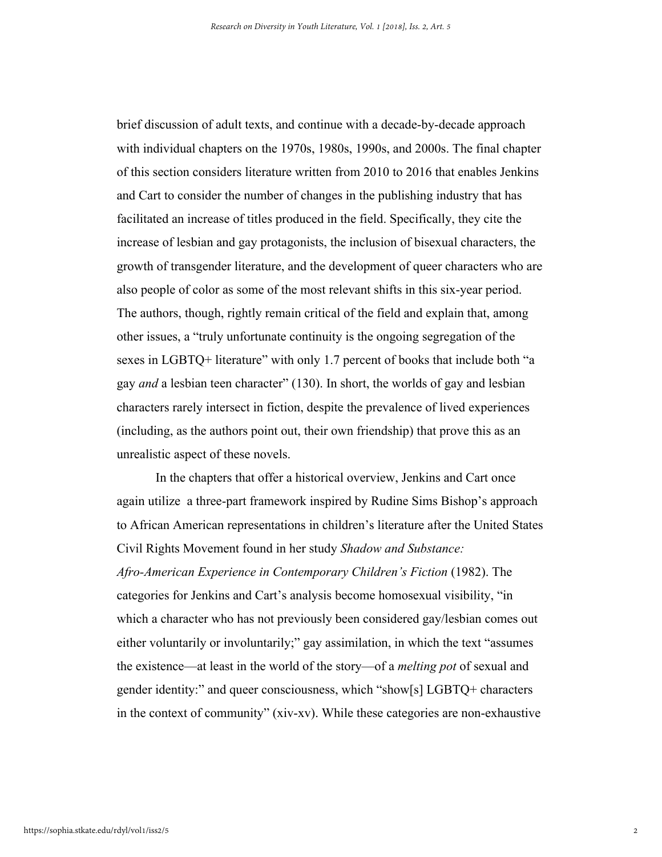brief discussion of adult texts, and continue with a decade-by-decade approach with individual chapters on the 1970s, 1980s, 1990s, and 2000s. The final chapter of this section considers literature written from 2010 to 2016 that enables Jenkins and Cart to consider the number of changes in the publishing industry that has facilitated an increase of titles produced in the field. Specifically, they cite the increase of lesbian and gay protagonists, the inclusion of bisexual characters, the growth of transgender literature, and the development of queer characters who are also people of color as some of the most relevant shifts in this six-year period. The authors, though, rightly remain critical of the field and explain that, among other issues, a "truly unfortunate continuity is the ongoing segregation of the sexes in LGBTQ+ literature" with only 1.7 percent of books that include both "a gay *and* a lesbian teen character" (130). In short, the worlds of gay and lesbian characters rarely intersect in fiction, despite the prevalence of lived experiences (including, as the authors point out, their own friendship) that prove this as an unrealistic aspect of these novels.

In the chapters that offer a historical overview, Jenkins and Cart once again utilize a three-part framework inspired by Rudine Sims Bishop's approach to African American representations in children's literature after the United States Civil Rights Movement found in her study *Shadow and Substance: Afro-American Experience in Contemporary Children's Fiction* (1982). The categories for Jenkins and Cart's analysis become homosexual visibility, "in which a character who has not previously been considered gay/lesbian comes out either voluntarily or involuntarily;" gay assimilation, in which the text "assumes the existence—at least in the world of the story—of a *melting pot* of sexual and gender identity:" and queer consciousness, which "show[s] LGBTQ+ characters in the context of community" (xiv-xv). While these categories are non-exhaustive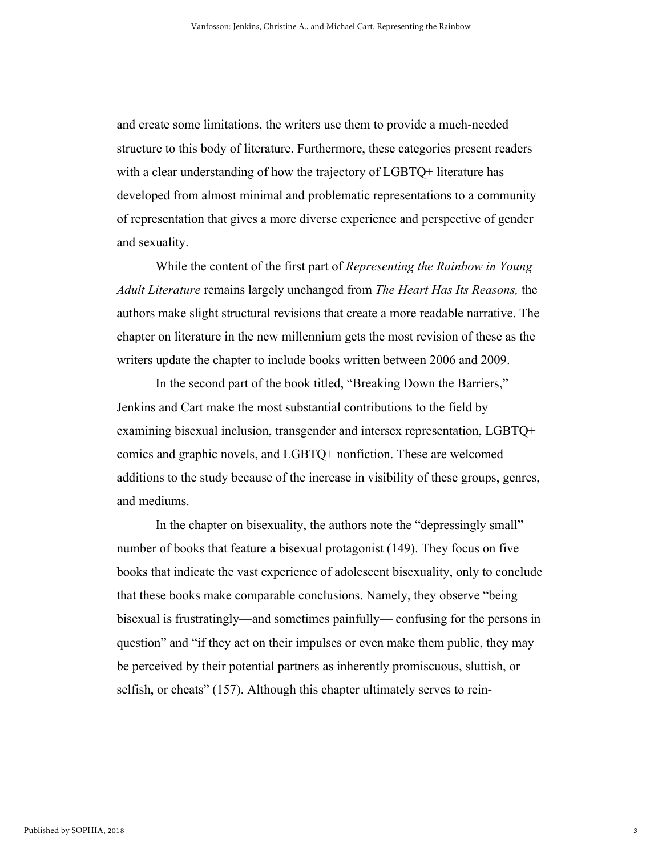and create some limitations, the writers use them to provide a much-needed structure to this body of literature. Furthermore, these categories present readers with a clear understanding of how the trajectory of LGBTQ+ literature has developed from almost minimal and problematic representations to a community of representation that gives a more diverse experience and perspective of gender and sexuality.

While the content of the first part of *Representing the Rainbow in Young Adult Literature* remains largely unchanged from *The Heart Has Its Reasons,* the authors make slight structural revisions that create a more readable narrative. The chapter on literature in the new millennium gets the most revision of these as the writers update the chapter to include books written between 2006 and 2009.

In the second part of the book titled, "Breaking Down the Barriers," Jenkins and Cart make the most substantial contributions to the field by examining bisexual inclusion, transgender and intersex representation, LGBTQ+ comics and graphic novels, and LGBTQ+ nonfiction. These are welcomed additions to the study because of the increase in visibility of these groups, genres, and mediums.

In the chapter on bisexuality, the authors note the "depressingly small" number of books that feature a bisexual protagonist (149). They focus on five books that indicate the vast experience of adolescent bisexuality, only to conclude that these books make comparable conclusions. Namely, they observe "being bisexual is frustratingly—and sometimes painfully— confusing for the persons in question" and "if they act on their impulses or even make them public, they may be perceived by their potential partners as inherently promiscuous, sluttish, or selfish, or cheats" (157). Although this chapter ultimately serves to rein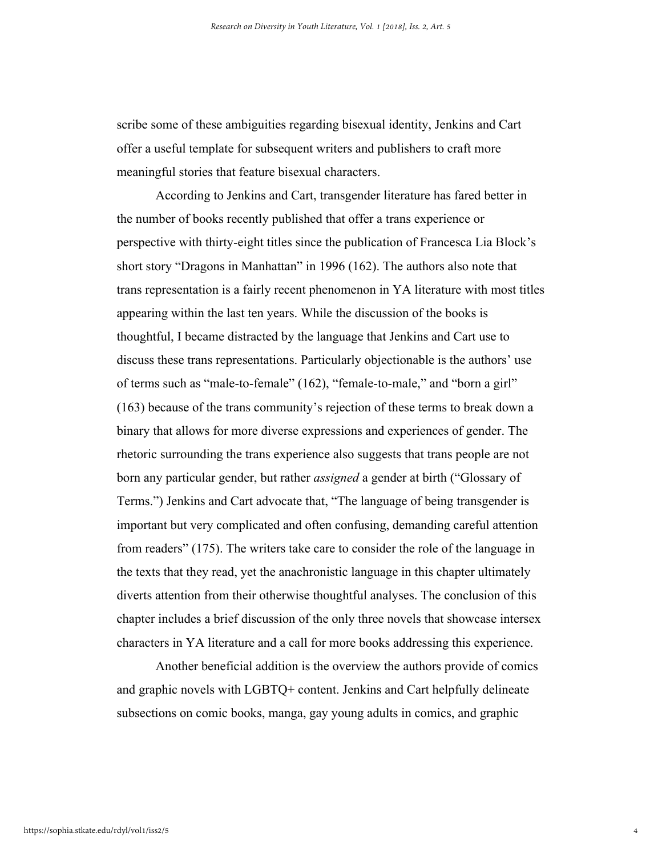scribe some of these ambiguities regarding bisexual identity, Jenkins and Cart offer a useful template for subsequent writers and publishers to craft more meaningful stories that feature bisexual characters.

According to Jenkins and Cart, transgender literature has fared better in the number of books recently published that offer a trans experience or perspective with thirty-eight titles since the publication of Francesca Lia Block's short story "Dragons in Manhattan" in 1996 (162). The authors also note that trans representation is a fairly recent phenomenon in YA literature with most titles appearing within the last ten years. While the discussion of the books is thoughtful, I became distracted by the language that Jenkins and Cart use to discuss these trans representations. Particularly objectionable is the authors' use of terms such as "male-to-female" (162), "female-to-male," and "born a girl" (163) because of the trans community's rejection of these terms to break down a binary that allows for more diverse expressions and experiences of gender. The rhetoric surrounding the trans experience also suggests that trans people are not born any particular gender, but rather *assigned* a gender at birth ("Glossary of Terms.") Jenkins and Cart advocate that, "The language of being transgender is important but very complicated and often confusing, demanding careful attention from readers" (175). The writers take care to consider the role of the language in the texts that they read, yet the anachronistic language in this chapter ultimately diverts attention from their otherwise thoughtful analyses. The conclusion of this chapter includes a brief discussion of the only three novels that showcase intersex characters in YA literature and a call for more books addressing this experience.

Another beneficial addition is the overview the authors provide of comics and graphic novels with LGBTQ+ content. Jenkins and Cart helpfully delineate subsections on comic books, manga, gay young adults in comics, and graphic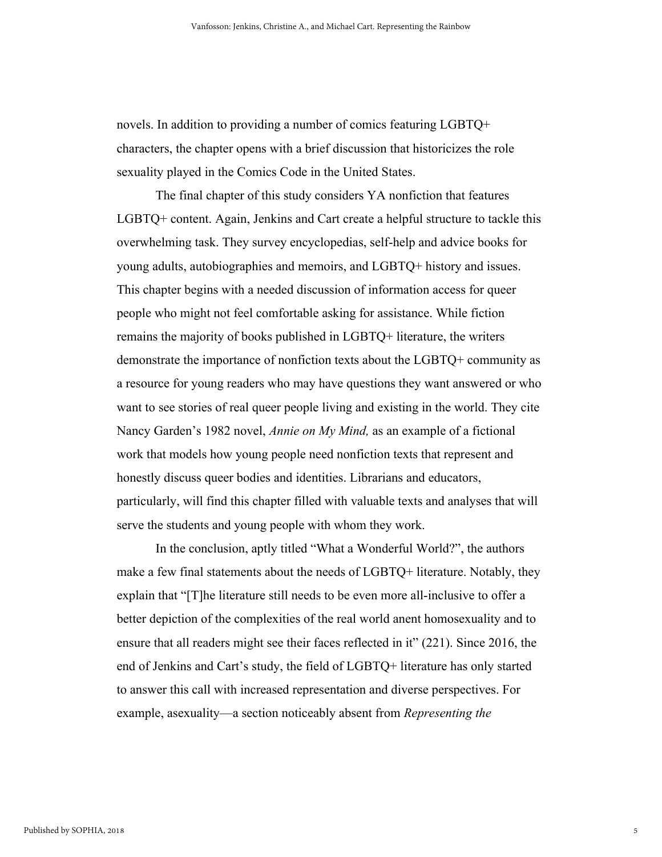novels. In addition to providing a number of comics featuring LGBTQ+ characters, the chapter opens with a brief discussion that historicizes the role sexuality played in the Comics Code in the United States.

The final chapter of this study considers YA nonfiction that features LGBTQ+ content. Again, Jenkins and Cart create a helpful structure to tackle this overwhelming task. They survey encyclopedias, self-help and advice books for young adults, autobiographies and memoirs, and LGBTQ+ history and issues. This chapter begins with a needed discussion of information access for queer people who might not feel comfortable asking for assistance. While fiction remains the majority of books published in LGBTQ+ literature, the writers demonstrate the importance of nonfiction texts about the LGBTQ+ community as a resource for young readers who may have questions they want answered or who want to see stories of real queer people living and existing in the world. They cite Nancy Garden's 1982 novel, *Annie on My Mind,* as an example of a fictional work that models how young people need nonfiction texts that represent and honestly discuss queer bodies and identities. Librarians and educators, particularly, will find this chapter filled with valuable texts and analyses that will serve the students and young people with whom they work.

In the conclusion, aptly titled "What a Wonderful World?", the authors make a few final statements about the needs of LGBTQ+ literature. Notably, they explain that "[T]he literature still needs to be even more all-inclusive to offer a better depiction of the complexities of the real world anent homosexuality and to ensure that all readers might see their faces reflected in it" (221). Since 2016, the end of Jenkins and Cart's study, the field of LGBTQ+ literature has only started to answer this call with increased representation and diverse perspectives. For example, asexuality—a section noticeably absent from *Representing the*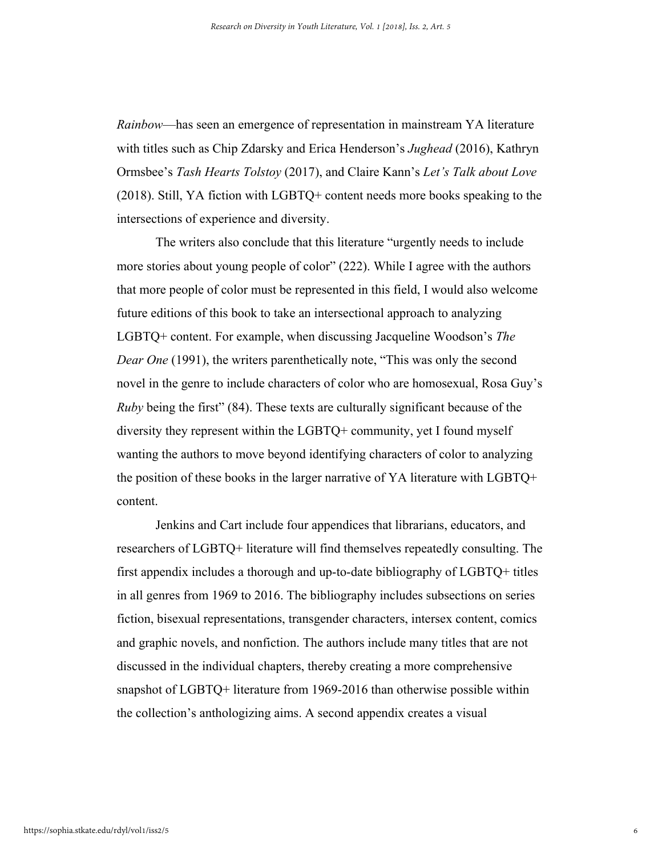*Rainbow*—has seen an emergence of representation in mainstream YA literature with titles such as Chip Zdarsky and Erica Henderson's *Jughead* (2016), Kathryn Ormsbee's *Tash Hearts Tolstoy* (2017), and Claire Kann's *Let's Talk about Love* (2018). Still, YA fiction with LGBTQ+ content needs more books speaking to the intersections of experience and diversity.

The writers also conclude that this literature "urgently needs to include more stories about young people of color" (222). While I agree with the authors that more people of color must be represented in this field, I would also welcome future editions of this book to take an intersectional approach to analyzing LGBTQ+ content. For example, when discussing Jacqueline Woodson's *The Dear One* (1991), the writers parenthetically note, "This was only the second novel in the genre to include characters of color who are homosexual, Rosa Guy's *Ruby* being the first" (84). These texts are culturally significant because of the diversity they represent within the LGBTQ+ community, yet I found myself wanting the authors to move beyond identifying characters of color to analyzing the position of these books in the larger narrative of YA literature with LGBTQ+ content.

Jenkins and Cart include four appendices that librarians, educators, and researchers of LGBTQ+ literature will find themselves repeatedly consulting. The first appendix includes a thorough and up-to-date bibliography of LGBTQ+ titles in all genres from 1969 to 2016. The bibliography includes subsections on series fiction, bisexual representations, transgender characters, intersex content, comics and graphic novels, and nonfiction. The authors include many titles that are not discussed in the individual chapters, thereby creating a more comprehensive snapshot of LGBTQ+ literature from 1969-2016 than otherwise possible within the collection's anthologizing aims. A second appendix creates a visual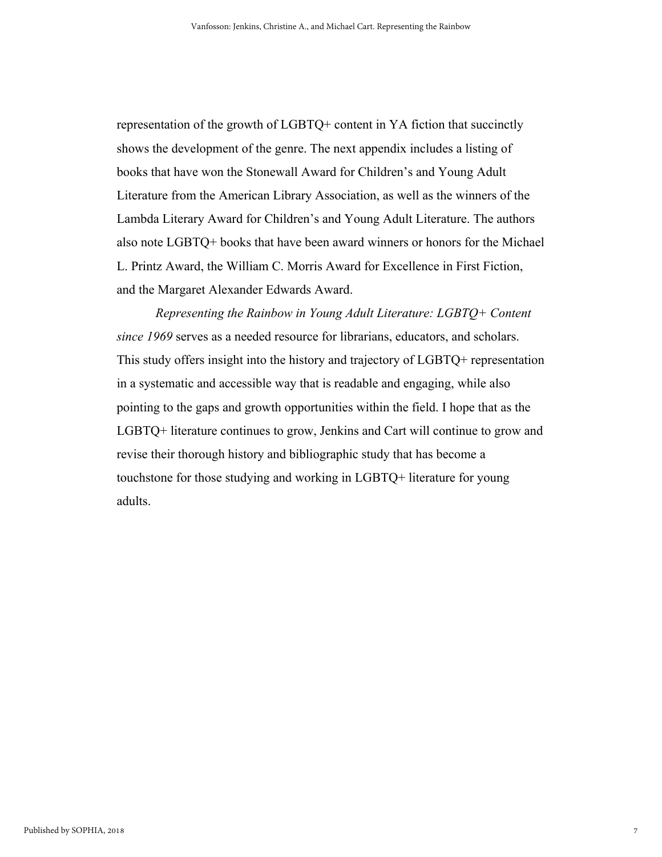representation of the growth of LGBTQ+ content in YA fiction that succinctly shows the development of the genre. The next appendix includes a listing of books that have won the Stonewall Award for Children's and Young Adult Literature from the American Library Association, as well as the winners of the Lambda Literary Award for Children's and Young Adult Literature. The authors also note LGBTQ+ books that have been award winners or honors for the Michael L. Printz Award, the William C. Morris Award for Excellence in First Fiction, and the Margaret Alexander Edwards Award.

*Representing the Rainbow in Young Adult Literature: LGBTQ+ Content since 1969* serves as a needed resource for librarians, educators, and scholars. This study offers insight into the history and trajectory of LGBTQ+ representation in a systematic and accessible way that is readable and engaging, while also pointing to the gaps and growth opportunities within the field. I hope that as the LGBTQ+ literature continues to grow, Jenkins and Cart will continue to grow and revise their thorough history and bibliographic study that has become a touchstone for those studying and working in LGBTQ+ literature for young adults.